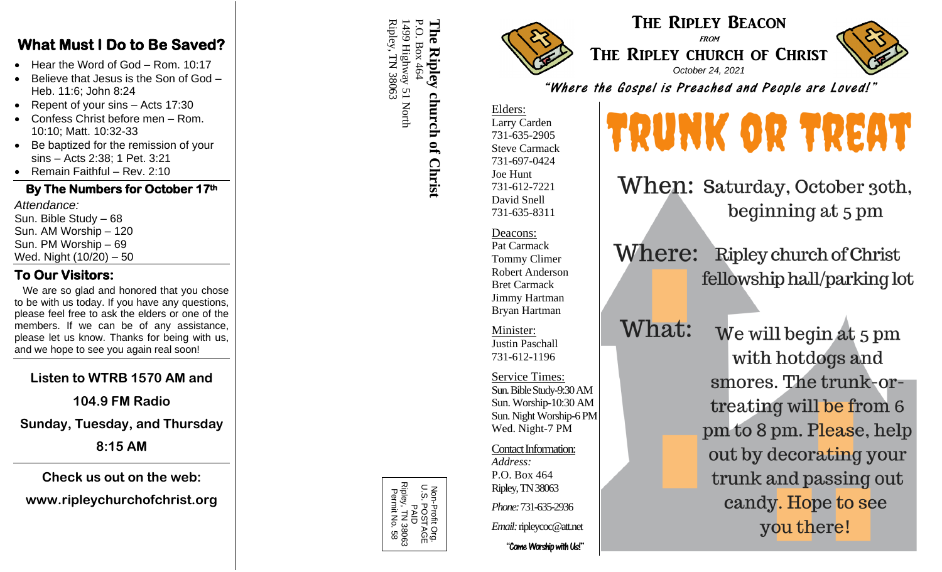#### **What Must I Do to Be Saved?**

- Hear the Word of God Rom. 10:17
- Believe that Jesus is the Son of God Heb. 11:6; John 8:24
- Repent of your sins Acts 17:30
- Confess Christ before men Rom. 10:10; Matt. 10:32 -33
- Be baptized for the remission of your sins – Acts 2:38; 1 Pet. 3:21
- Remain Faithful Rev. 2:10

#### **By The Numbers for October 1 7th**

*Attendance:* Sun. Bible Study – 68 Sun. AM Worship – 120 Sun. PM Worship – 69 Wed. Night (10 /20 ) – 50

#### **To Our Visitors:**

We are so glad and honored that you chose to be with us today. If you have any questions, please feel free to ask the elders or one of the members. If we can be of any assistance, please let us know. Thanks for being with us, and we hope to see you again real soon!

## **Listen to WTRB 1570 AM and**

**104.9 FM Radio**

#### **Sunday, Tuesday, and Thursday**

**8:15 AM**

**Check us out on the web:**

**www.ripleychurchofchrist.org**

1499 Highway 51 North<br>Ripley, TN 38063 Ripley, TN 38063 P.O. Box 464 The 1499 Highway 51 North P.O. Box 464 **The Ripley church of Christ** Ripley church of Christ

> Non-Profit Org. U.S. POSTAGE D<br>D<br>D Ripley, TN 38063 Permit No. 58







"Where the Gospel is Preached and People are Loved!"

Elders: Larry Carden 731 -635 -2905 Steve Carmack 731 -697 -0424 Joe Hunt 731 -612 -7221 David Snell 731 -635 -8311

Deacons: Pat Carmack Tommy Climer Robert Anderson Bret Carmack Jimmy Hartman Bryan Hartman

Minister: Justin Paschall 731 -612 -1196

Service Times: Sun. Bible Study-9:30 AM Sun. Worship -10:30 AM Sun. Night Worship -6 PM Wed. Night -7 PM

Contact Information:

*Address:* P.O. Box 464 Ripley, TN 38063 *Phone:* 731 -635 -2936

*Email:*ripleycoc@att.net

"Come Worship with Us!"

# TRUNK OR TREAT

When: Saturday, October 30th, beginning at 5 pm

Where: Ripley church of Christ fellowship hall/parking lot

What:

We will begin at 5 pm with hotdogs and smores. The trunk-ortreating will be from 6 pm to 8 pm. Please, help out by decorating your trunk and passing out candy. Hope to see you there!